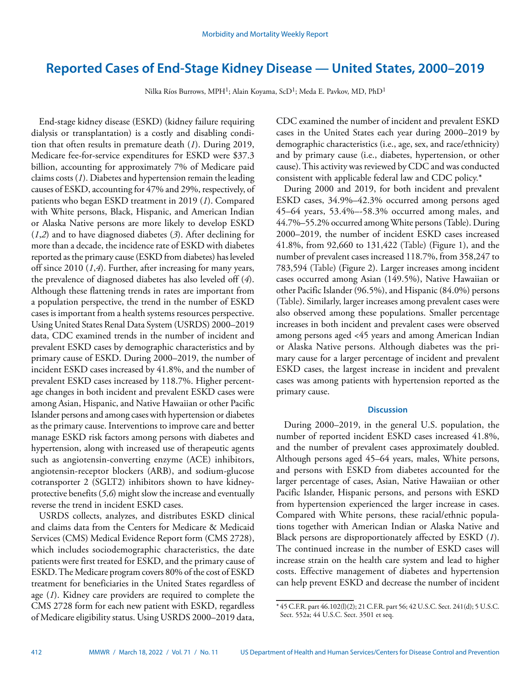# **Reported Cases of End-Stage Kidney Disease — United States, 2000–2019**

Nilka Ríos Burrows, MPH1; Alain Koyama, ScD1; Meda E. Pavkov, MD, PhD1

End-stage kidney disease (ESKD) (kidney failure requiring dialysis or transplantation) is a costly and disabling condition that often results in premature death (*1*). During 2019, Medicare fee-for-service expenditures for ESKD were \$37.3 billion, accounting for approximately 7% of Medicare paid claims costs (*1*). Diabetes and hypertension remain the leading causes of ESKD, accounting for 47% and 29%, respectively, of patients who began ESKD treatment in 2019 (*1*). Compared with White persons, Black, Hispanic, and American Indian or Alaska Native persons are more likely to develop ESKD (*1*,*2*) and to have diagnosed diabetes (*3*). After declining for more than a decade, the incidence rate of ESKD with diabetes reported as the primary cause (ESKD from diabetes) has leveled off since 2010 (*1*,*4*). Further, after increasing for many years, the prevalence of diagnosed diabetes has also leveled off (*4*). Although these flattening trends in rates are important from a population perspective, the trend in the number of ESKD cases is important from a health systems resources perspective. Using United States Renal Data System (USRDS) 2000–2019 data, CDC examined trends in the number of incident and prevalent ESKD cases by demographic characteristics and by primary cause of ESKD. During 2000–2019, the number of incident ESKD cases increased by 41.8%, and the number of prevalent ESKD cases increased by 118.7%. Higher percentage changes in both incident and prevalent ESKD cases were among Asian, Hispanic, and Native Hawaiian or other Pacific Islander persons and among cases with hypertension or diabetes as the primary cause. Interventions to improve care and better manage ESKD risk factors among persons with diabetes and hypertension, along with increased use of therapeutic agents such as angiotensin-converting enzyme (ACE) inhibitors, angiotensin-receptor blockers (ARB), and sodium-glucose cotransporter 2 (SGLT2) inhibitors shown to have kidneyprotective benefits (*5*,*6*) might slow the increase and eventually reverse the trend in incident ESKD cases.

USRDS collects, analyzes, and distributes ESKD clinical and claims data from the Centers for Medicare & Medicaid Services (CMS) Medical Evidence Report form (CMS 2728), which includes sociodemographic characteristics, the date patients were first treated for ESKD, and the primary cause of ESKD. The Medicare program covers 80% of the cost of ESKD treatment for beneficiaries in the United States regardless of age (*1*). Kidney care providers are required to complete the CMS 2728 form for each new patient with ESKD, regardless of Medicare eligibility status. Using USRDS 2000–2019 data,

CDC examined the number of incident and prevalent ESKD cases in the United States each year during 2000–2019 by demographic characteristics (i.e., age, sex, and race/ethnicity) and by primary cause (i.e., diabetes, hypertension, or other cause). This activity was reviewed by CDC and was conducted consistent with applicable federal law and CDC policy.\*

During 2000 and 2019, for both incident and prevalent ESKD cases, 34.9%–42.3% occurred among persons aged 45–64 years, 53.4%–-58.3% occurred among males, and 44.7%–55.2% occurred among White persons (Table). During 2000–2019, the number of incident ESKD cases increased 41.8%, from 92,660 to 131,422 (Table) (Figure 1), and the number of prevalent cases increased 118.7%, from 358,247 to 783,594 (Table) (Figure 2). Larger increases among incident cases occurred among Asian (149.5%), Native Hawaiian or other Pacific Islander (96.5%), and Hispanic (84.0%) persons (Table). Similarly, larger increases among prevalent cases were also observed among these populations. Smaller percentage increases in both incident and prevalent cases were observed among persons aged <45 years and among American Indian or Alaska Native persons. Although diabetes was the primary cause for a larger percentage of incident and prevalent ESKD cases, the largest increase in incident and prevalent cases was among patients with hypertension reported as the primary cause.

# **Discussion**

During 2000–2019, in the general U.S. population, the number of reported incident ESKD cases increased 41.8%, and the number of prevalent cases approximately doubled. Although persons aged 45–64 years, males, White persons, and persons with ESKD from diabetes accounted for the larger percentage of cases, Asian, Native Hawaiian or other Pacific Islander, Hispanic persons, and persons with ESKD from hypertension experienced the larger increase in cases. Compared with White persons, these racial/ethnic populations together with American Indian or Alaska Native and Black persons are disproportionately affected by ESKD (*1*). The continued increase in the number of ESKD cases will increase strain on the health care system and lead to higher costs. Effective management of diabetes and hypertension can help prevent ESKD and decrease the number of incident

 $*$  45 C.F.R. part 46.102(l)(2); 21 C.F.R. part 56; 42 U.S.C. Sect. 241(d); 5 U.S.C. Sect. 552a; 44 U.S.C. Sect. 3501 et seq.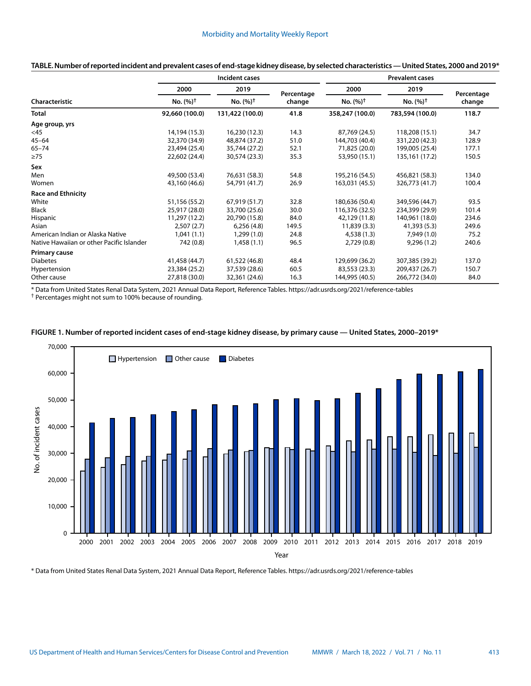| Characteristic                            | Incident cases              |                             |                      | <b>Prevalent cases</b>      |                             |                      |
|-------------------------------------------|-----------------------------|-----------------------------|----------------------|-----------------------------|-----------------------------|----------------------|
|                                           | 2000<br>No. $(%)^{\dagger}$ | 2019<br>No. $(%)^{\dagger}$ | Percentage<br>change | 2000<br>No. $(%)^{\dagger}$ | 2019<br>$No. (%)^{\dagger}$ | Percentage<br>change |
|                                           |                             |                             |                      |                             |                             |                      |
| Age group, yrs                            |                             |                             |                      |                             |                             |                      |
| <45                                       | 14,194 (15.3)               | 16,230 (12.3)               | 14.3                 | 87,769 (24.5)               | 118,208 (15.1)              | 34.7                 |
| $45 - 64$                                 | 32,370 (34.9)               | 48,874 (37.2)               | 51.0                 | 144,703 (40.4)              | 331,220 (42.3)              | 128.9                |
| $65 - 74$                                 | 23,494 (25.4)               | 35,744 (27.2)               | 52.1                 | 71,825 (20.0)               | 199,005 (25.4)              | 177.1                |
| $\geq 75$                                 | 22,602 (24.4)               | 30,574 (23.3)               | 35.3                 | 53,950 (15.1)               | 135,161 (17.2)              | 150.5                |
| Sex                                       |                             |                             |                      |                             |                             |                      |
| Men                                       | 49,500 (53.4)               | 76,631 (58.3)               | 54.8                 | 195,216 (54.5)              | 456,821 (58.3)              | 134.0                |
| Women                                     | 43,160 (46.6)               | 54,791 (41.7)               | 26.9                 | 163,031 (45.5)              | 326,773 (41.7)              | 100.4                |
| <b>Race and Ethnicity</b>                 |                             |                             |                      |                             |                             |                      |
| White                                     | 51,156 (55.2)               | 67,919 (51.7)               | 32.8                 | 180,636 (50.4)              | 349,596 (44.7)              | 93.5                 |
| Black                                     | 25,917 (28.0)               | 33,700 (25.6)               | 30.0                 | 116,376 (32.5)              | 234,399 (29.9)              | 101.4                |
| Hispanic                                  | 11,297 (12.2)               | 20,790 (15.8)               | 84.0                 | 42,129 (11.8)               | 140,961 (18.0)              | 234.6                |
| Asian                                     | 2,507(2.7)                  | 6,256(4.8)                  | 149.5                | 11,839(3.3)                 | 41,393 (5.3)                | 249.6                |
| American Indian or Alaska Native          | 1,041(1.1)                  | 1,299(1.0)                  | 24.8                 | 4,538(1.3)                  | 7,949 (1.0)                 | 75.2                 |
| Native Hawaiian or other Pacific Islander | 742 (0.8)                   | 1,458(1.1)                  | 96.5                 | 2,729(0.8)                  | 9,296(1.2)                  | 240.6                |
| Primary cause                             |                             |                             |                      |                             |                             |                      |
| <b>Diabetes</b>                           | 41,458 (44.7)               | 61,522 (46.8)               | 48.4                 | 129,699 (36.2)              | 307,385 (39.2)              | 137.0                |
| Hypertension                              | 23,384 (25.2)               | 37,539 (28.6)               | 60.5                 | 83,553 (23.3)               | 209,437 (26.7)              | 150.7                |
| Other cause                               | 27,818 (30.0)               | 32,361 (24.6)               | 16.3                 | 144,995 (40.5)              | 266,772 (34.0)              | 84.0                 |

## **TABLE. Number of reported incident and prevalent cases of end-stage kidney disease, by selected characteristics — United States, 2000 and 2019\***

\* Data from United States Renal Data System, 2021 Annual Data Report, Reference Tables. <https://adr.usrds.org/2021/reference-tables>

† Percentages might not sum to 100% because of rounding.





\* Data from United States Renal Data System, 2021 Annual Data Report, Reference Tables. <https://adr.usrds.org/2021/reference-tables>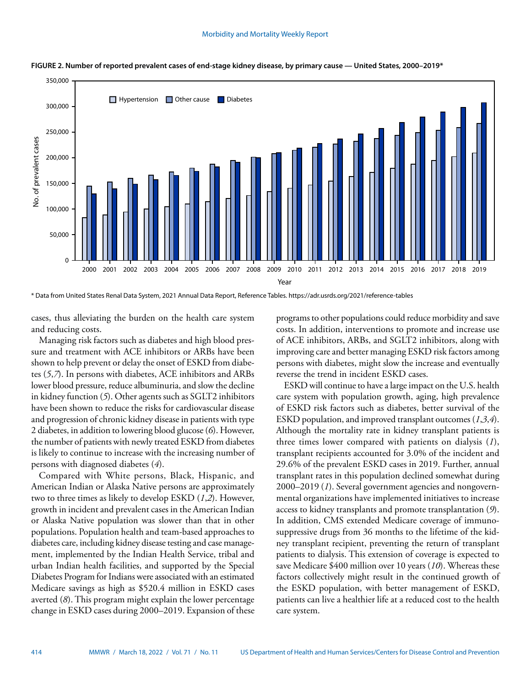

**FIGURE 2. Number of reported prevalent cases of end-stage kidney disease, by primary cause — United States, 2000–2019\***

\* Data from United States Renal Data System, 2021 Annual Data Report, Reference Tables. <https://adr.usrds.org/2021/reference-tables>

cases, thus alleviating the burden on the health care system and reducing costs.

Managing risk factors such as diabetes and high blood pressure and treatment with ACE inhibitors or ARBs have been shown to help prevent or delay the onset of ESKD from diabetes (*5*,*7*). In persons with diabetes, ACE inhibitors and ARBs lower blood pressure, reduce albuminuria, and slow the decline in kidney function (*5*). Other agents such as SGLT2 inhibitors have been shown to reduce the risks for cardiovascular disease and progression of chronic kidney disease in patients with type 2 diabetes, in addition to lowering blood glucose (*6*). However, the number of patients with newly treated ESKD from diabetes is likely to continue to increase with the increasing number of persons with diagnosed diabetes (*4*).

Compared with White persons, Black, Hispanic, and American Indian or Alaska Native persons are approximately two to three times as likely to develop ESKD (*1*,*2*). However, growth in incident and prevalent cases in the American Indian or Alaska Native population was slower than that in other populations. Population health and team-based approaches to diabetes care, including kidney disease testing and case management, implemented by the Indian Health Service, tribal and urban Indian health facilities, and supported by the Special Diabetes Program for Indians were associated with an estimated Medicare savings as high as \$520.4 million in ESKD cases averted (*8*). This program might explain the lower percentage change in ESKD cases during 2000–2019. Expansion of these programs to other populations could reduce morbidity and save costs. In addition, interventions to promote and increase use of ACE inhibitors, ARBs, and SGLT2 inhibitors, along with improving care and better managing ESKD risk factors among persons with diabetes, might slow the increase and eventually reverse the trend in incident ESKD cases.

ESKD will continue to have a large impact on the U.S. health care system with population growth, aging, high prevalence of ESKD risk factors such as diabetes, better survival of the ESKD population, and improved transplant outcomes (*1*,*3*,*4*). Although the mortality rate in kidney transplant patients is three times lower compared with patients on dialysis (*1*), transplant recipients accounted for 3.0% of the incident and 29.6% of the prevalent ESKD cases in 2019. Further, annual transplant rates in this population declined somewhat during 2000–2019 (*1*). Several government agencies and nongovernmental organizations have implemented initiatives to increase access to kidney transplants and promote transplantation (*9*). In addition, CMS extended Medicare coverage of immunosuppressive drugs from 36 months to the lifetime of the kidney transplant recipient, preventing the return of transplant patients to dialysis. This extension of coverage is expected to save Medicare \$400 million over 10 years (*10*). Whereas these factors collectively might result in the continued growth of the ESKD population, with better management of ESKD, patients can live a healthier life at a reduced cost to the health care system.